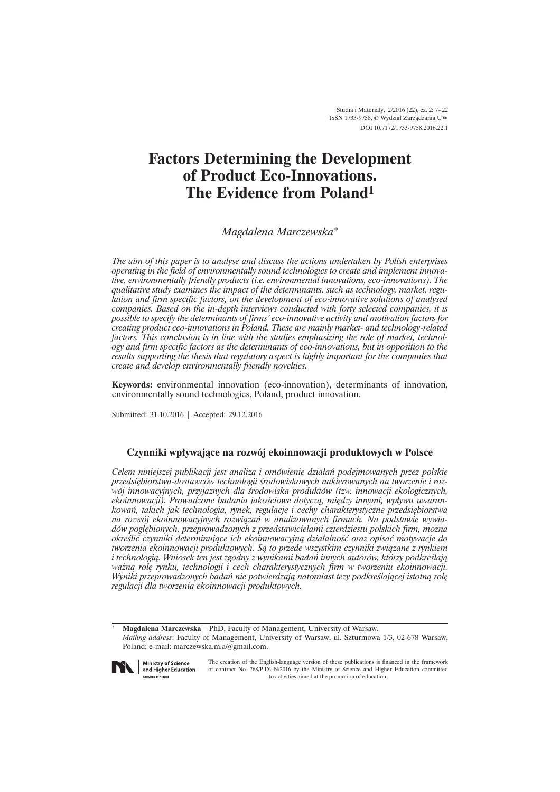# **Factors Determining the Development of Product Eco-Innovations. The Evidence from Poland<sup>1</sup>**

*Magdalena Marczewska\**

*The aim of this paper is to analyse and discuss the actions undertaken by Polish enterprises operating in the field of environmentally sound technologies to create and implement innovative, environmentally friendly products (i.e. environmental innovations, eco-innovations). The qualitative study examines the impact of the determinants, such as technology, market, regulation and firm specific factors, on the development of eco-innovative solutions of analysed companies. Based on the in-depth interviews conducted with forty selected companies, it is possible to specify the determinants of firms' eco-innovative activity and motivation factors for creating product eco-innovations in Poland. These are mainly market- and technology-related factors. This conclusion is in line with the studies emphasizing the role of market, technology and firm specific factors as the determinants of eco-innovations, but in opposition to the results supporting the thesis that regulatory aspect is highly important for the companies that create and develop environmentally friendly novelties.*

**Keywords:** environmental innovation (eco-innovation), determinants of innovation, environmentally sound technologies, Poland, product innovation.

Submitted: 31.10.2016 | Accepted: 29.12.2016

# **Czynniki wpïywajÈce na rozwój ekoinnowacji produktowych w Polsce**

*Celem niniejszej publikacji jest analiza i omówienie dziaïañ podejmowanych przez polskie przedsiÚbiorstwa-dostawców technologii Ărodowiskowych nakierowanych na tworzenie i rozwój innowacyjnych, przyjaznych dla Ărodowiska produktów (tzw. innowacji ekologicznych, ekoinnowacji). Prowadzone badania jakoĂciowe dotyczÈ, miÚdzy innymi, wpïywu uwarunkowań, takich jak technologia, rynek, regulacje i cechy charakterystyczne przedsiębiorstwa na rozwój ekoinnowacyjnych rozwiÈzañ w analizowanych firmach. Na podstawie wywia*dów pogłębionych, przeprowadzonych z przedstawicielami czterdziestu polskich firm, można *okreĂliÊ czynniki determinujÈce ich ekoinnowacyjnÈ dziaïalnoĂÊ oraz opisaÊ motywacje do tworzenia ekoinnowacji produktowych. SÈ to przede wszystkim czynniki zwiÈzane z rynkiem i technologiÈ. Wniosek ten jest zgodny z wynikami badañ innych autorów, którzy podkreĂlajÈ waĝnÈ rolÚ rynku, technologii i cech charakterystycznych firm w tworzeniu ekoinnowacji. Wyniki przeprowadzonych badañ nie potwierdzajÈ natomiast tezy podkreĂlajÈcej istotnÈ rolÚ regulacji dla tworzenia ekoinnowacji produktowych.*

\* **Magdalena Marczewska** – PhD, Faculty of Management, University of Warsaw. *Mailing address*: Faculty of Management, University of Warsaw, ul. Szturmowa 1/3, 02-678 Warsaw, Poland; e-mail: marczewska.m.a@gmail.com.



**Ministry of Science** and Higher Education **Republic of Poland** 

The creation of the English-language version of these publications is financed in the framework of contract No. 768/P-DUN/2016 by the Ministry of Science and Higher Education committed to activities aimed at the promotion of education.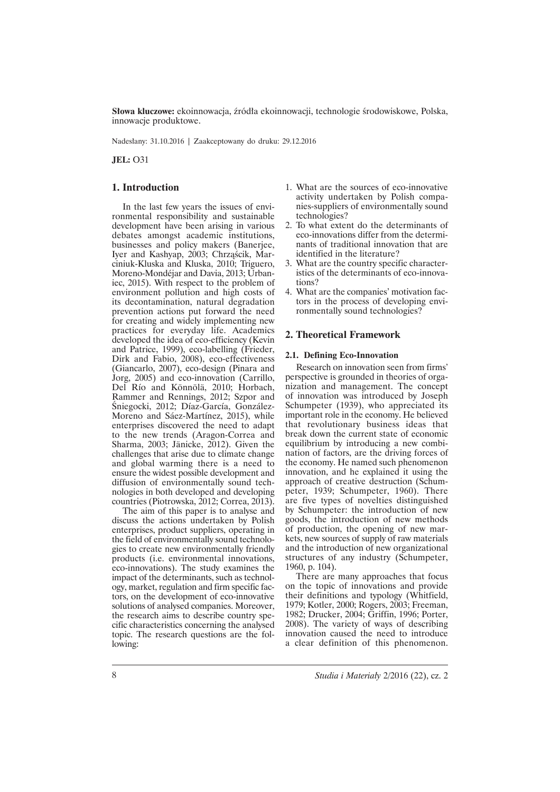**Słowa kluczowe:** ekoinnowacja, źródła ekoinnowacji, technologie środowiskowe, Polska, innowacje produktowe.

Nadesïany: 31.10.2016 | Zaakceptowany do druku: 29.12.2016

**JEL:** O31

## **1. Introduction**

In the last few years the issues of environmental responsibility and sustainable development have been arising in various debates amongst academic institutions, businesses and policy makers (Banerjee, Iyer and Kashyap, 2003; Chrząścik, Marciniuk-Kluska and Kluska, 2010; Triguero, Moreno-Mondéjar and Davia, 2013; Urbaniec, 2015). With respect to the problem of environment pollution and high costs of its decontamination, natural degradation prevention actions put forward the need for creating and widely implementing new practices for everyday life. Academics developed the idea of eco-efficiency (Kevin and Patrice, 1999), eco-labelling (Frieder, Dirk and Fabio, 2008), eco-effectiveness (Giancarlo, 2007), eco-design (Pinara and Jorg, 2005) and eco-innovation (Carrillo, Del Río and Könnölä, 2010; Horbach, Rammer and Rennings, 2012; Szpor and Śniegocki, 2012; Díaz-García, González-Moreno and Sáez-Martínez, 2015), while enterprises discovered the need to adapt to the new trends (Aragon-Correa and Sharma, 2003; Jänicke, 2012). Given the challenges that arise due to climate change and global warming there is a need to ensure the widest possible development and diffusion of environmentally sound technologies in both developed and developing countries (Piotrowska, 2012; Correa, 2013).

The aim of this paper is to analyse and discuss the actions undertaken by Polish enterprises, product suppliers, operating in the field of environmentally sound technologies to create new environmentally friendly products (i.e. environmental innovations, eco-innovations). The study examines the impact of the determinants, such as technology, market, regulation and firm specific factors, on the development of eco-innovative solutions of analysed companies. Moreover, the research aims to describe country specific characteristics concerning the analysed topic. The research questions are the following:

- 1. What are the sources of eco-innovative activity undertaken by Polish companies-suppliers of environmentally sound technologies?
- 2. To what extent do the determinants of eco-innovations differ from the determinants of traditional innovation that are identified in the literature?
- 3. What are the country specific characteristics of the determinants of eco-innovations?
- 4. What are the companies' motivation factors in the process of developing environmentally sound technologies?

### **2. Theoretical Framework**

#### **2.1. Defining Eco-Innovation**

Research on innovation seen from firms' perspective is grounded in theories of organization and management. The concept of innovation was introduced by Joseph Schumpeter (1939), who appreciated its important role in the economy. He believed that revolutionary business ideas that break down the current state of economic equilibrium by introducing a new combination of factors, are the driving forces of the economy. He named such phenomenon innovation, and he explained it using the approach of creative destruction (Schumpeter, 1939; Schumpeter, 1960). There are five types of novelties distinguished by Schumpeter: the introduction of new goods, the introduction of new methods of production, the opening of new markets, new sources of supply of raw materials and the introduction of new organizational structures of any industry (Schumpeter, 1960, p. 104).

There are many approaches that focus on the topic of innovations and provide their definitions and typology (Whitfield, 1979; Kotler, 2000; Rogers, 2003; Freeman, 1982; Drucker, 2004; Griffin, 1996; Porter, 2008). The variety of ways of describing innovation caused the need to introduce a clear definition of this phenomenon.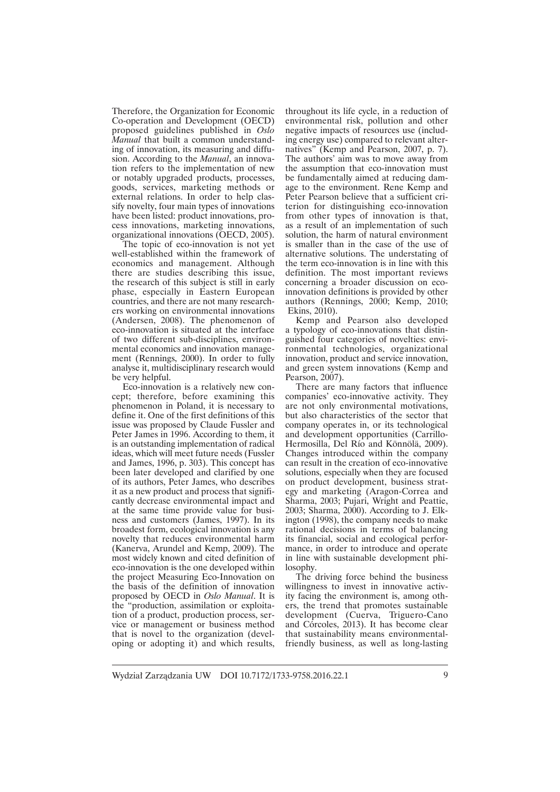Therefore, the Organization for Economic Co-operation and Development (OECD) proposed guidelines published in *Oslo Manual* that built a common understanding of innovation, its measuring and diffusion. According to the *Manual*, an innovation refers to the implementation of new or notably upgraded products, processes, goods, services, marketing methods or external relations. In order to help classify novelty, four main types of innovations have been listed: product innovations, process innovations, marketing innovations, organizational innovations (OECD, 2005).

The topic of eco-innovation is not yet well-established within the framework of economics and management. Although there are studies describing this issue, the research of this subject is still in early phase, especially in Eastern European countries, and there are not many researchers working on environmental innovations (Andersen, 2008). The phenomenon of eco-innovation is situated at the interface of two different sub-disciplines, environmental economics and innovation management (Rennings, 2000). In order to fully analyse it, multidisciplinary research would be very helpful.

Eco-innovation is a relatively new concept; therefore, before examining this phenomenon in Poland, it is necessary to define it. One of the first definitions of this issue was proposed by Claude Fussler and Peter James in 1996. According to them, it is an outstanding implementation of radical ideas, which will meet future needs (Fussler and James, 1996, p. 303). This concept has been later developed and clarified by one of its authors, Peter James, who describes it as a new product and process that significantly decrease environmental impact and at the same time provide value for business and customers (James, 1997). In its broadest form, ecological innovation is any novelty that reduces environmental harm (Kanerva, Arundel and Kemp, 2009). The most widely known and cited definition of eco-innovation is the one developed within the project Measuring Eco-Innovation on the basis of the definition of innovation proposed by OECD in *Oslo Manual*. It is the "production, assimilation or exploitation of a product, production process, service or management or business method that is novel to the organization (developing or adopting it) and which results, throughout its life cycle, in a reduction of environmental risk, pollution and other negative impacts of resources use (including energy use) compared to relevant alternatives" (Kemp and Pearson, 2007, p. 7). The authors' aim was to move away from the assumption that eco-innovation must be fundamentally aimed at reducing damage to the environment. Rene Kemp and Peter Pearson believe that a sufficient criterion for distinguishing eco-innovation from other types of innovation is that, as a result of an implementation of such solution, the harm of natural environment is smaller than in the case of the use of alternative solutions. The understating of the term eco-innovation is in line with this definition. The most important reviews concerning a broader discussion on ecoinnovation definitions is provided by other authors (Rennings, 2000; Kemp, 2010; Ekins, 2010).

Kemp and Pearson also developed a typology of eco-innovations that distinguished four categories of novelties: environmental technologies, organizational innovation, product and service innovation, and green system innovations (Kemp and Pearson, 2007).

There are many factors that influence companies' eco-innovative activity. They are not only environmental motivations, but also characteristics of the sector that company operates in, or its technological and development opportunities (Carrillo-Hermosilla, Del Río and Könnölä, 2009). Changes introduced within the company can result in the creation of eco-innovative solutions, especially when they are focused on product development, business strategy and marketing (Aragon-Correa and Sharma, 2003; Pujari, Wright and Peattie, 2003; Sharma, 2000). According to J. Elkington (1998), the company needs to make rational decisions in terms of balancing its financial, social and ecological performance, in order to introduce and operate in line with sustainable development philosophy.

The driving force behind the business willingness to invest in innovative activity facing the environment is, among others, the trend that promotes sustainable development (Cuerva, Triguero-Cano and Córcoles, 2013). It has become clear that sustainability means environmentalfriendly business, as well as long-lasting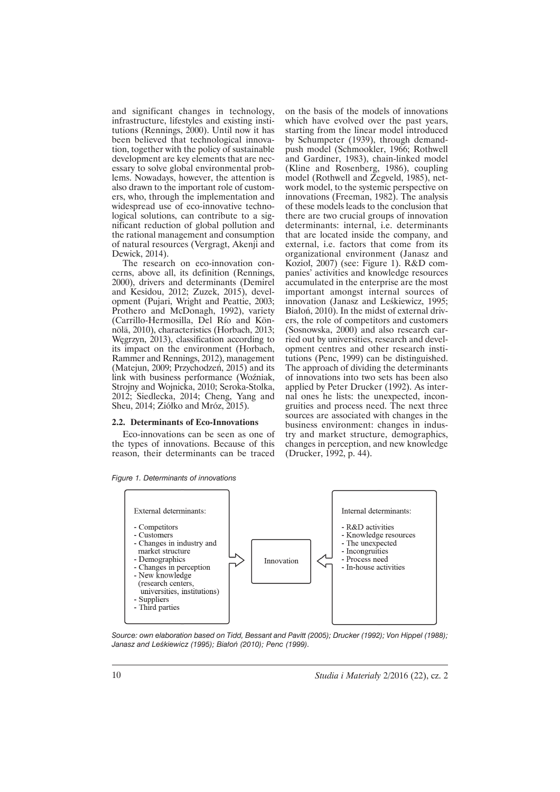and significant changes in technology, infrastructure, lifestyles and existing institutions (Rennings, 2000). Until now it has been believed that technological innovation, together with the policy of sustainable development are key elements that are necessary to solve global environmental problems. Nowadays, however, the attention is also drawn to the important role of customers, who, through the implementation and widespread use of eco-innovative technological solutions, can contribute to a significant reduction of global pollution and the rational management and consumption of natural resources (Vergragt, Akenji and Dewick, 2014).

The research on eco-innovation concerns, above all, its definition (Rennings, 2000), drivers and determinants (Demirel and Kesidou, 2012; Zuzek, 2015), development (Pujari, Wright and Peattie, 2003; Prothero and McDonagh, 1992), variety (Carrillo-Hermosilla, Del Río and Könnölä, 2010), characteristics (Horbach, 2013; Węgrzyn, 2013), classification according to its impact on the environment (Horbach, Rammer and Rennings, 2012), management (Matejun, 2009; Przychodzeñ, 2015) and its link with business performance (Woěniak, Strojny and Wojnicka, 2010; Seroka-Stolka, 2012; Siedlecka, 2014; Cheng, Yang and Sheu, 2014; Ziółko and Mróz, 2015).

#### **2.2. Determinants of Eco-Innovations**

Eco-innovations can be seen as one of the types of innovations. Because of this reason, their determinants can be traced

| Figure 1. Determinants of innovations |  |
|---------------------------------------|--|
|---------------------------------------|--|

on the basis of the models of innovations which have evolved over the past years, starting from the linear model introduced by Schumpeter (1939), through demandpush model (Schmookler, 1966; Rothwell and Gardiner, 1983), chain-linked model (Kline and Rosenberg, 1986), coupling model (Rothwell and Zegveld, 1985), network model, to the systemic perspective on innovations (Freeman, 1982). The analysis of these models leads to the conclusion that there are two crucial groups of innovation determinants: internal, i.e. determinants that are located inside the company, and external, i.e. factors that come from its organizational environment (Janasz and Kozioł, 2007) (see: Figure 1). R&D companies' activities and knowledge resources accumulated in the enterprise are the most important amongst internal sources of innovation (Janasz and Leśkiewicz, 1995; Białoń, 2010). In the midst of external drivers, the role of competitors and customers (Sosnowska, 2000) and also research carried out by universities, research and development centres and other research institutions (Penc, 1999) can be distinguished. The approach of dividing the determinants of innovations into two sets has been also applied by Peter Drucker (1992). As internal ones he lists: the unexpected, incongruities and process need. The next three sources are associated with changes in the business environment: changes in industry and market structure, demographics, changes in perception, and new knowledge (Drucker, 1992, p. 44).



*Source: own elaboration based on Tidd, Bessant and Pavitt (2005); Drucker (1992); Von Hippel (1988); Janasz and LeĂkiewicz (1995); Biaïoñ (2010); Penc (1999).*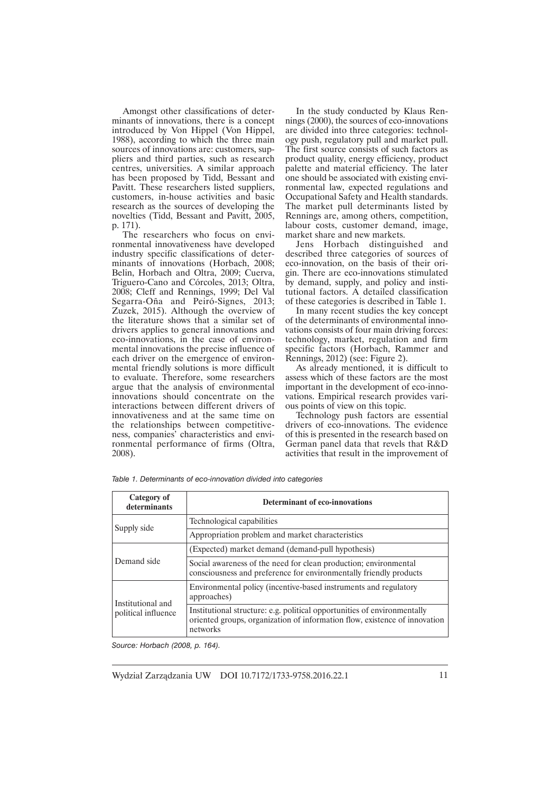Amongst other classifications of determinants of innovations, there is a concept introduced by Von Hippel (Von Hippel, 1988), according to which the three main sources of innovations are: customers, suppliers and third parties, such as research centres, universities. A similar approach has been proposed by Tidd, Bessant and Pavitt. These researchers listed suppliers, customers, in-house activities and basic research as the sources of developing the novelties (Tidd, Bessant and Pavitt, 2005, p. 171).

The researchers who focus on environmental innovativeness have developed industry specific classifications of determinants of innovations (Horbach, 2008; Belin, Horbach and Oltra, 2009; Cuerva, Triguero-Cano and Córcoles, 2013; Oltra, 2008; Cleff and Rennings, 1999; Del Val Segarra-Oña and Peiró-Signes, 2013; Zuzek, 2015). Although the overview of the literature shows that a similar set of drivers applies to general innovations and eco-innovations, in the case of environmental innovations the precise influence of each driver on the emergence of environmental friendly solutions is more difficult to evaluate. Therefore, some researchers argue that the analysis of environmental innovations should concentrate on the interactions between different drivers of innovativeness and at the same time on the relationships between competitiveness, companies' characteristics and environmental performance of firms (Oltra, 2008).

In the study conducted by Klaus Rennings (2000), the sources of eco-innovations are divided into three categories: technology push, regulatory pull and market pull. The first source consists of such factors as product quality, energy efficiency, product palette and material efficiency. The later one should be associated with existing environmental law, expected regulations and Occupational Safety and Health standards. The market pull determinants listed by Rennings are, among others, competition, labour costs, customer demand, image, market share and new markets.

Jens Horbach distinguished and described three categories of sources of eco-innovation, on the basis of their origin. There are eco-innovations stimulated by demand, supply, and policy and institutional factors. A detailed classification of these categories is described in Table 1.

In many recent studies the key concept of the determinants of environmental innovations consists of four main driving forces: technology, market, regulation and firm specific factors (Horbach, Rammer and Rennings, 2012) (see: Figure 2).

As already mentioned, it is difficult to assess which of these factors are the most important in the development of eco-innovations. Empirical research provides various points of view on this topic.

Technology push factors are essential drivers of eco-innovations. The evidence of this is presented in the research based on German panel data that revels that R&D activities that result in the improvement of

| Category of<br>determinants              | <b>Determinant of eco-innovations</b>                                                                                                                              |
|------------------------------------------|--------------------------------------------------------------------------------------------------------------------------------------------------------------------|
| Supply side                              | Technological capabilities                                                                                                                                         |
|                                          | Appropriation problem and market characteristics                                                                                                                   |
| Demand side                              | (Expected) market demand (demand-pull hypothesis)                                                                                                                  |
|                                          | Social awareness of the need for clean production; environmental<br>consciousness and preference for environmentally friendly products                             |
| Institutional and<br>political influence | Environmental policy (incentive-based instruments and regulatory<br>approaches)                                                                                    |
|                                          | Institutional structure: e.g. political opportunities of environmentally<br>oriented groups, organization of information flow, existence of innovation<br>networks |

*Table 1. Determinants of eco-innovation divided into categories*

*Source: Horbach (2008, p. 164).*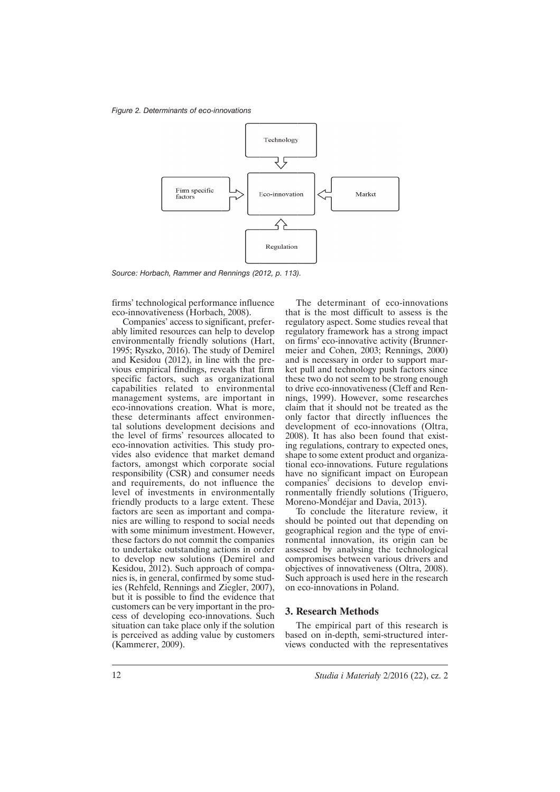*Figure 2. Determinants of eco-innovations*



*Source: Horbach, Rammer and Rennings (2012, p. 113).*

firms' technological performance influence eco-innovativeness (Horbach, 2008).

Companies' access to significant, preferably limited resources can help to develop environmentally friendly solutions (Hart, 1995; Ryszko, 2016). The study of Demirel and Kesidou (2012), in line with the previous empirical findings, reveals that firm specific factors, such as organizational capabilities related to environmental management systems, are important in eco-innovations creation. What is more, these determinants affect environmental solutions development decisions and the level of firms' resources allocated to eco-innovation activities. This study provides also evidence that market demand factors, amongst which corporate social responsibility (CSR) and consumer needs and requirements, do not influence the level of investments in environmentally friendly products to a large extent. These factors are seen as important and companies are willing to respond to social needs with some minimum investment. However, these factors do not commit the companies to undertake outstanding actions in order to develop new solutions (Demirel and Kesidou, 2012). Such approach of companies is, in general, confirmed by some studies (Rehfeld, Rennings and Ziegler, 2007), but it is possible to find the evidence that customers can be very important in the process of developing eco-innovations. Such situation can take place only if the solution is perceived as adding value by customers (Kammerer, 2009).

The determinant of eco-innovations that is the most difficult to assess is the regulatory aspect. Some studies reveal that regulatory framework has a strong impact on firms' eco-innovative activity (Brunnermeier and Cohen, 2003; Rennings, 2000) and is necessary in order to support market pull and technology push factors since these two do not seem to be strong enough to drive eco-innovativeness (Cleff and Rennings, 1999). However, some researches claim that it should not be treated as the only factor that directly influences the development of eco-innovations (Oltra, 2008). It has also been found that existing regulations, contrary to expected ones, shape to some extent product and organizational eco-innovations. Future regulations have no significant impact on European companies' decisions to develop environmentally friendly solutions (Triguero, Moreno-Mondéjar and Davia, 2013).

To conclude the literature review, it should be pointed out that depending on geographical region and the type of environmental innovation, its origin can be assessed by analysing the technological compromises between various drivers and objectives of innovativeness (Oltra, 2008). Such approach is used here in the research on eco-innovations in Poland.

# **3. Research Methods**

The empirical part of this research is based on in-depth, semi-structured interviews conducted with the representatives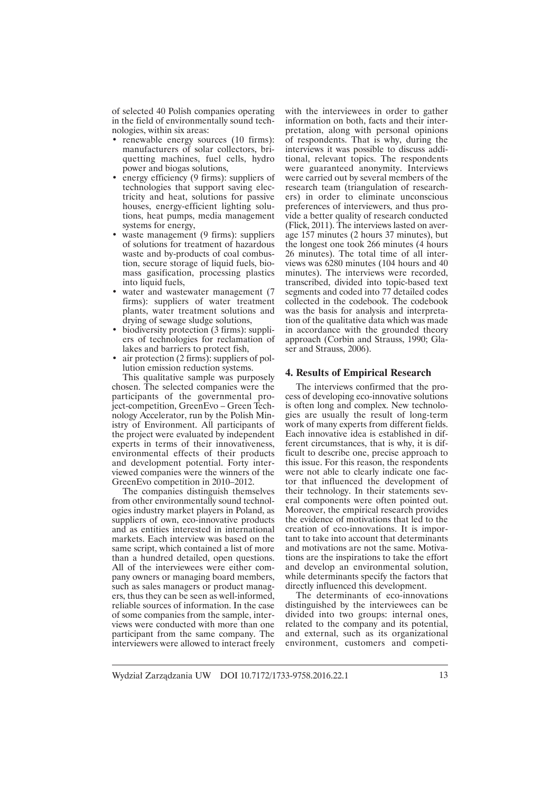of selected 40 Polish companies operating in the field of environmentally sound technologies, within six areas:

- renewable energy sources (10 firms): manufacturers of solar collectors, briquetting machines, fuel cells, hydro power and biogas solutions,
- energy efficiency (9 firms): suppliers of technologies that support saving electricity and heat, solutions for passive houses, energy-efficient lighting solutions, heat pumps, media management systems for energy,
- waste management (9 firms): suppliers of solutions for treatment of hazardous waste and by-products of coal combustion, secure storage of liquid fuels, biomass gasification, processing plastics into liquid fuels,
- water and wastewater management (7) firms): suppliers of water treatment plants, water treatment solutions and drying of sewage sludge solutions,
- biodiversity protection (3 firms): suppliers of technologies for reclamation of lakes and barriers to protect fish,
- air protection (2 firms): suppliers of pollution emission reduction systems.

This qualitative sample was purposely chosen. The selected companies were the participants of the governmental project-competition, GreenEvo – Green Technology Accelerator, run by the Polish Ministry of Environment. All participants of the project were evaluated by independent experts in terms of their innovativeness, environmental effects of their products and development potential. Forty interviewed companies were the winners of the GreenEvo competition in 2010–2012.

The companies distinguish themselves from other environmentally sound technologies industry market players in Poland, as suppliers of own, eco-innovative products and as entities interested in international markets. Each interview was based on the same script, which contained a list of more than a hundred detailed, open questions. All of the interviewees were either company owners or managing board members, such as sales managers or product managers, thus they can be seen as well-informed, reliable sources of information. In the case of some companies from the sample, interviews were conducted with more than one participant from the same company. The interviewers were allowed to interact freely with the interviewees in order to gather information on both, facts and their interpretation, along with personal opinions of respondents. That is why, during the interviews it was possible to discuss additional, relevant topics. The respondents were guaranteed anonymity. Interviews were carried out by several members of the research team (triangulation of researchers) in order to eliminate unconscious preferences of interviewers, and thus provide a better quality of research conducted (Flick, 2011). The interviews lasted on average 157 minutes (2 hours 37 minutes), but the longest one took 266 minutes (4 hours 26 minutes). The total time of all interviews was 6280 minutes (104 hours and 40 minutes). The interviews were recorded, transcribed, divided into topic-based text segments and coded into 77 detailed codes collected in the codebook. The codebook was the basis for analysis and interpretation of the qualitative data which was made in accordance with the grounded theory approach (Corbin and Strauss, 1990; Glaser and Strauss, 2006).

#### **4. Results of Empirical Research**

The interviews confirmed that the process of developing eco-innovative solutions is often long and complex. New technologies are usually the result of long-term work of many experts from different fields. Each innovative idea is established in different circumstances, that is why, it is difficult to describe one, precise approach to this issue. For this reason, the respondents were not able to clearly indicate one factor that influenced the development of their technology. In their statements several components were often pointed out. Moreover, the empirical research provides the evidence of motivations that led to the creation of eco-innovations. It is important to take into account that determinants and motivations are not the same. Motivations are the inspirations to take the effort and develop an environmental solution, while determinants specify the factors that directly influenced this development.

The determinants of eco-innovations distinguished by the interviewees can be divided into two groups: internal ones, related to the company and its potential, and external, such as its organizational environment, customers and competi-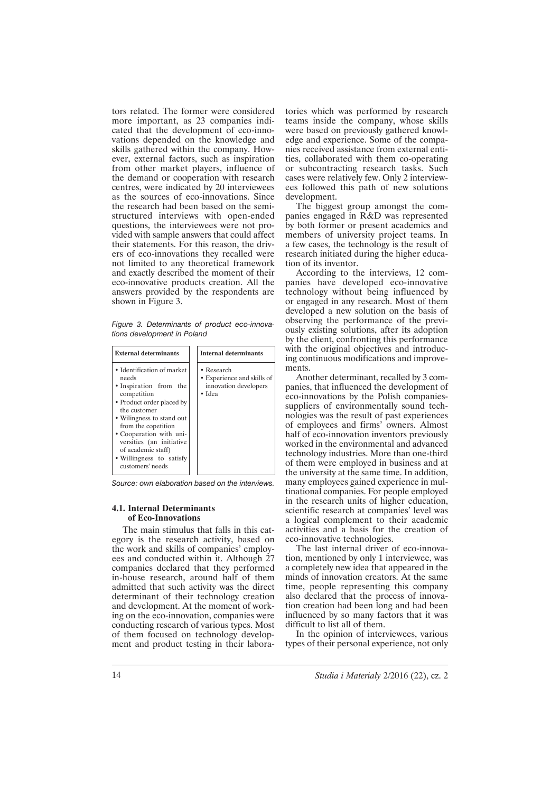tors related. The former were considered more important, as 23 companies indicated that the development of eco-innovations depended on the knowledge and skills gathered within the company. However, external factors, such as inspiration from other market players, influence of the demand or cooperation with research centres, were indicated by 20 interviewees as the sources of eco-innovations. Since the research had been based on the semistructured interviews with open-ended questions, the interviewees were not provided with sample answers that could affect their statements. For this reason, the drivers of eco-innovations they recalled were not limited to any theoretical framework and exactly described the moment of their eco-innovative products creation. All the answers provided by the respondents are shown in Figure 3.

*Figure 3. Determinants of product eco-innovations development in Poland*

| <b>External determinants</b>                                                                                                                                                                                                                                                                               | <b>Internal determinants</b>                                                |
|------------------------------------------------------------------------------------------------------------------------------------------------------------------------------------------------------------------------------------------------------------------------------------------------------------|-----------------------------------------------------------------------------|
| • Identification of market<br>needs<br>• Inspiration from the<br>competition<br>• Product order placed by<br>the customer<br>• Wilingness to stand out<br>from the copetition<br>• Cooperation with uni-<br>versities (an initiative<br>of academic staff)<br>• Willingness to satisfy<br>customers' needs | • Research<br>• Experience and skills of<br>innovation developers<br>• Idea |

*Source: own elaboration based on the interviews.*

# **4.1. Internal Determinants of Eco-Innovations**

The main stimulus that falls in this category is the research activity, based on the work and skills of companies' employees and conducted within it. Although 27 companies declared that they performed in-house research, around half of them admitted that such activity was the direct determinant of their technology creation and development. At the moment of working on the eco-innovation, companies were conducting research of various types. Most of them focused on technology development and product testing in their laboratories which was performed by research teams inside the company, whose skills were based on previously gathered knowledge and experience. Some of the companies received assistance from external entities, collaborated with them co-operating or subcontracting research tasks. Such cases were relatively few. Only 2 interviewees followed this path of new solutions development.

The biggest group amongst the companies engaged in R&D was represented by both former or present academics and members of university project teams. In a few cases, the technology is the result of research initiated during the higher education of its inventor.

According to the interviews, 12 companies have developed eco-innovative technology without being influenced by or engaged in any research. Most of them developed a new solution on the basis of observing the performance of the previously existing solutions, after its adoption by the client, confronting this performance with the original objectives and introducing continuous modifications and improvements.

Another determinant, recalled by 3 companies, that influenced the development of eco-innovations by the Polish companiessuppliers of environmentally sound technologies was the result of past experiences of employees and firms' owners. Almost half of eco-innovation inventors previously worked in the environmental and advanced technology industries. More than one-third of them were employed in business and at the university at the same time. In addition, many employees gained experience in multinational companies. For people employed in the research units of higher education, scientific research at companies' level was a logical complement to their academic activities and a basis for the creation of eco-innovative technologies.

The last internal driver of eco-innovation, mentioned by only 1 interviewee, was a completely new idea that appeared in the minds of innovation creators. At the same time, people representing this company also declared that the process of innovation creation had been long and had been influenced by so many factors that it was difficult to list all of them.

In the opinion of interviewees, various types of their personal experience, not only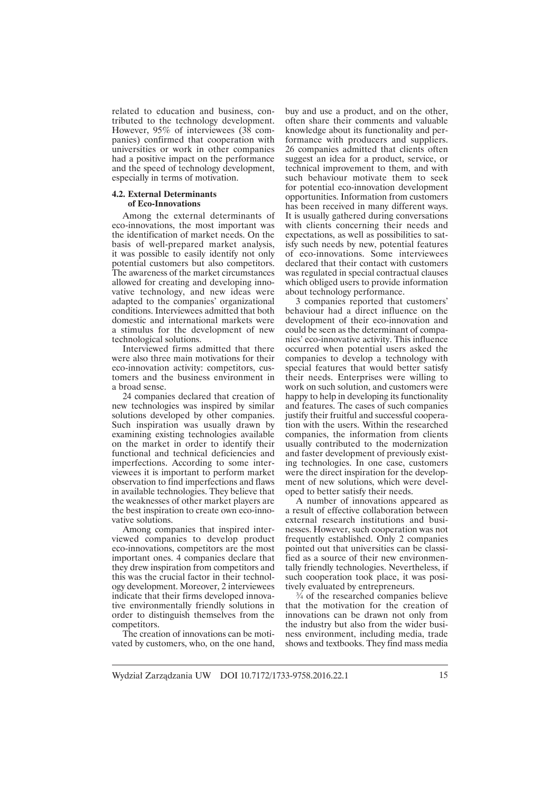related to education and business, contributed to the technology development. However, 95% of interviewees (38 companies) confirmed that cooperation with universities or work in other companies had a positive impact on the performance and the speed of technology development, especially in terms of motivation.

## **4.2. External Determinants of Eco-Innovations**

Among the external determinants of eco-innovations, the most important was the identification of market needs. On the basis of well-prepared market analysis, it was possible to easily identify not only potential customers but also competitors. The awareness of the market circumstances allowed for creating and developing innovative technology, and new ideas were adapted to the companies' organizational conditions. Interviewees admitted that both domestic and international markets were a stimulus for the development of new technological solutions.

Interviewed firms admitted that there were also three main motivations for their eco-innovation activity: competitors, customers and the business environment in a broad sense.

24 companies declared that creation of new technologies was inspired by similar solutions developed by other companies. Such inspiration was usually drawn by examining existing technologies available on the market in order to identify their functional and technical deficiencies and imperfections. According to some interviewees it is important to perform market observation to find imperfections and flaws in available technologies. They believe that the weaknesses of other market players are the best inspiration to create own eco-innovative solutions.

Among companies that inspired interviewed companies to develop product eco-innovations, competitors are the most important ones. 4 companies declare that they drew inspiration from competitors and this was the crucial factor in their technology development. Moreover, 2 interviewees indicate that their firms developed innovative environmentally friendly solutions in order to distinguish themselves from the competitors.

The creation of innovations can be motivated by customers, who, on the one hand, buy and use a product, and on the other, often share their comments and valuable knowledge about its functionality and performance with producers and suppliers. 26 companies admitted that clients often suggest an idea for a product, service, or technical improvement to them, and with such behaviour motivate them to seek for potential eco-innovation development opportunities. Information from customers has been received in many different ways. It is usually gathered during conversations with clients concerning their needs and expectations, as well as possibilities to satisfy such needs by new, potential features of eco-innovations. Some interviewees declared that their contact with customers was regulated in special contractual clauses which obliged users to provide information about technology performance.

3 companies reported that customers' behaviour had a direct influence on the development of their eco-innovation and could be seen as the determinant of companies' eco-innovative activity. This influence occurred when potential users asked the companies to develop a technology with special features that would better satisfy their needs. Enterprises were willing to work on such solution, and customers were happy to help in developing its functionality and features. The cases of such companies justify their fruitful and successful cooperation with the users. Within the researched companies, the information from clients usually contributed to the modernization and faster development of previously existing technologies. In one case, customers were the direct inspiration for the development of new solutions, which were developed to better satisfy their needs.

A number of innovations appeared as a result of effective collaboration between external research institutions and businesses. However, such cooperation was not frequently established. Only 2 companies pointed out that universities can be classified as a source of their new environmentally friendly technologies. Nevertheless, if such cooperation took place, it was positively evaluated by entrepreneurs.

¾ of the researched companies believe that the motivation for the creation of innovations can be drawn not only from the industry but also from the wider business environment, including media, trade shows and textbooks. They find mass media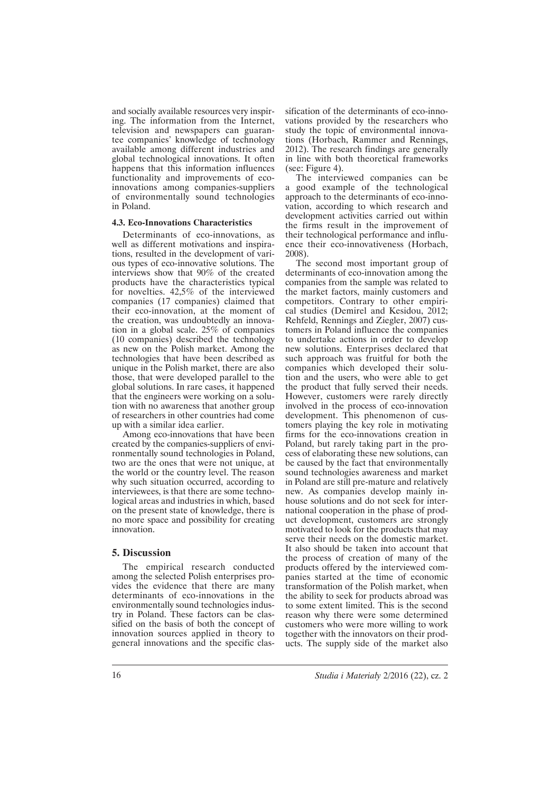and socially available resources very inspiring. The information from the Internet, television and newspapers can guarantee companies' knowledge of technology available among different industries and global technological innovations. It often happens that this information influences functionality and improvements of ecoinnovations among companies-suppliers of environmentally sound technologies in Poland.

## **4.3. Eco-Innovations Characteristics**

Determinants of eco-innovations, as well as different motivations and inspirations, resulted in the development of various types of eco-innovative solutions. The interviews show that 90% of the created products have the characteristics typical for novelties. 42,5% of the interviewed companies (17 companies) claimed that their eco-innovation, at the moment of the creation, was undoubtedly an innovation in a global scale. 25% of companies (10 companies) described the technology as new on the Polish market. Among the technologies that have been described as unique in the Polish market, there are also those, that were developed parallel to the global solutions. In rare cases, it happened that the engineers were working on a solution with no awareness that another group of researchers in other countries had come up with a similar idea earlier.

Among eco-innovations that have been created by the companies-suppliers of environmentally sound technologies in Poland, two are the ones that were not unique, at the world or the country level. The reason why such situation occurred, according to interviewees, is that there are some technological areas and industries in which, based on the present state of knowledge, there is no more space and possibility for creating innovation.

# **5. Discussion**

The empirical research conducted among the selected Polish enterprises provides the evidence that there are many determinants of eco-innovations in the environmentally sound technologies industry in Poland. These factors can be classified on the basis of both the concept of innovation sources applied in theory to general innovations and the specific classification of the determinants of eco-innovations provided by the researchers who study the topic of environmental innovations (Horbach, Rammer and Rennings, 2012). The research findings are generally in line with both theoretical frameworks (see: Figure 4).

The interviewed companies can be a good example of the technological approach to the determinants of eco-innovation, according to which research and development activities carried out within the firms result in the improvement of their technological performance and influence their eco-innovativeness (Horbach, 2008).

The second most important group of determinants of eco-innovation among the companies from the sample was related to the market factors, mainly customers and competitors. Contrary to other empirical studies (Demirel and Kesidou, 2012; Rehfeld, Rennings and Ziegler, 2007) customers in Poland influence the companies to undertake actions in order to develop new solutions. Enterprises declared that such approach was fruitful for both the companies which developed their solution and the users, who were able to get the product that fully served their needs. However, customers were rarely directly involved in the process of eco-innovation development. This phenomenon of customers playing the key role in motivating firms for the eco-innovations creation in Poland, but rarely taking part in the process of elaborating these new solutions, can be caused by the fact that environmentally sound technologies awareness and market in Poland are still pre-mature and relatively new. As companies develop mainly inhouse solutions and do not seek for international cooperation in the phase of product development, customers are strongly motivated to look for the products that may serve their needs on the domestic market. It also should be taken into account that the process of creation of many of the products offered by the interviewed companies started at the time of economic transformation of the Polish market, when the ability to seek for products abroad was to some extent limited. This is the second reason why there were some determined customers who were more willing to work together with the innovators on their products. The supply side of the market also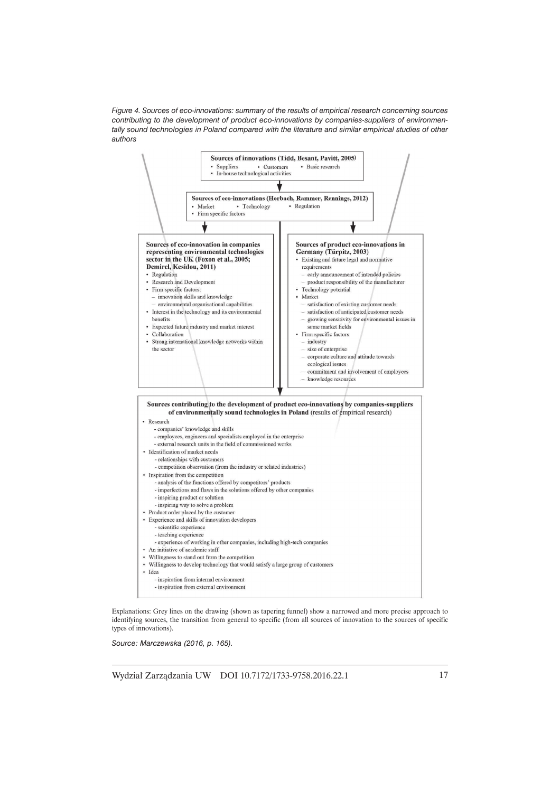*Figure 4. Sources of eco-innovations: summary of the results of empirical research concerning sources contributing to the development of product eco-innovations by companies-suppliers of environmentally sound technologies in Poland compared with the literature and similar empirical studies of other authors*



Explanations: Grey lines on the drawing (shown as tapering funnel) show a narrowed and more precise approach to identifying sources, the transition from general to specific (from all sources of innovation to the sources of specific types of innovations).

*Source: Marczewska (2016, p. 165).*

Wydział Zarządzania UW DOI 10.7172/1733-9758.2016.22.1 17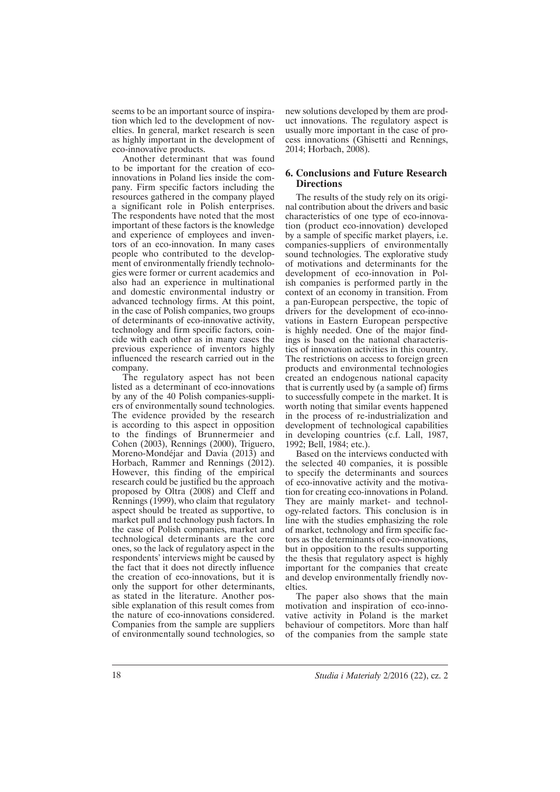seems to be an important source of inspiration which led to the development of novelties. In general, market research is seen as highly important in the development of eco-innovative products.

Another determinant that was found to be important for the creation of ecoinnovations in Poland lies inside the company. Firm specific factors including the resources gathered in the company played a significant role in Polish enterprises. The respondents have noted that the most important of these factors is the knowledge and experience of employees and inventors of an eco-innovation. In many cases people who contributed to the development of environmentally friendly technologies were former or current academics and also had an experience in multinational and domestic environmental industry or advanced technology firms. At this point, in the case of Polish companies, two groups of determinants of eco-innovative activity, technology and firm specific factors, coincide with each other as in many cases the previous experience of inventors highly influenced the research carried out in the company.

The regulatory aspect has not been listed as a determinant of eco-innovations by any of the 40 Polish companies-suppliers of environmentally sound technologies. The evidence provided by the research is according to this aspect in opposition to the findings of Brunnermeier and Cohen (2003), Rennings (2000), Triguero, Moreno-Mondéjar and Davia (2013) and Horbach, Rammer and Rennings (2012). However, this finding of the empirical research could be justified bu the approach proposed by Oltra (2008) and Cleff and Rennings (1999), who claim that regulatory aspect should be treated as supportive, to market pull and technology push factors. In the case of Polish companies, market and technological determinants are the core ones, so the lack of regulatory aspect in the respondents' interviews might be caused by the fact that it does not directly influence the creation of eco-innovations, but it is only the support for other determinants, as stated in the literature. Another possible explanation of this result comes from the nature of eco-innovations considered. Companies from the sample are suppliers of environmentally sound technologies, so

new solutions developed by them are product innovations. The regulatory aspect is usually more important in the case of process innovations (Ghisetti and Rennings, 2014; Horbach, 2008).

# **6. Conclusions and Future Research Directions**

The results of the study rely on its original contribution about the drivers and basic characteristics of one type of eco-innovation (product eco-innovation) developed by a sample of specific market players, i.e. companies-suppliers of environmentally sound technologies. The explorative study of motivations and determinants for the development of eco-innovation in Polish companies is performed partly in the context of an economy in transition. From a pan-European perspective, the topic of drivers for the development of eco-innovations in Eastern European perspective is highly needed. One of the major findings is based on the national characteristics of innovation activities in this country. The restrictions on access to foreign green products and environmental technologies created an endogenous national capacity that is currently used by (a sample of) firms to successfully compete in the market. It is worth noting that similar events happened in the process of re-industrialization and development of technological capabilities in developing countries (c.f. Lall, 1987, 1992; Bell, 1984; etc.).

Based on the interviews conducted with the selected 40 companies, it is possible to specify the determinants and sources of eco-innovative activity and the motivation for creating eco-innovations in Poland. They are mainly market- and technology-related factors. This conclusion is in line with the studies emphasizing the role of market, technology and firm specific factors as the determinants of eco-innovations, but in opposition to the results supporting the thesis that regulatory aspect is highly important for the companies that create and develop environmentally friendly novelties.

The paper also shows that the main motivation and inspiration of eco-innovative activity in Poland is the market behaviour of competitors. More than half of the companies from the sample state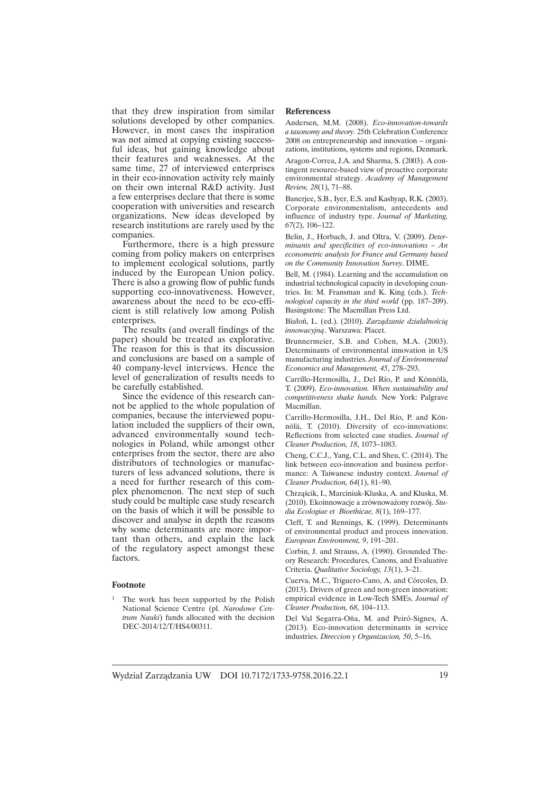that they drew inspiration from similar solutions developed by other companies. However, in most cases the inspiration was not aimed at copying existing successful ideas, but gaining knowledge about their features and weaknesses. At the same time, 27 of interviewed enterprises in their eco-innovation activity rely mainly on their own internal R&D activity. Just a few enterprises declare that there is some cooperation with universities and research organizations. New ideas developed by research institutions are rarely used by the companies.

Furthermore, there is a high pressure coming from policy makers on enterprises to implement ecological solutions, partly induced by the European Union policy. There is also a growing flow of public funds supporting eco-innovativeness. However, awareness about the need to be eco-efficient is still relatively low among Polish enterprises.

The results (and overall findings of the paper) should be treated as explorative. The reason for this is that its discussion and conclusions are based on a sample of 40 company-level interviews. Hence the level of generalization of results needs to be carefully established.

Since the evidence of this research cannot be applied to the whole population of companies, because the interviewed population included the suppliers of their own, advanced environmentally sound technologies in Poland, while amongst other enterprises from the sector, there are also distributors of technologies or manufacturers of less advanced solutions, there is a need for further research of this complex phenomenon. The next step of such study could be multiple case study research on the basis of which it will be possible to discover and analyse in depth the reasons why some determinants are more important than others, and explain the lack of the regulatory aspect amongst these factors.

#### **Footnote**

<sup>1</sup> The work has been supported by the Polish National Science Centre (pl. *Narodowe Centrum Nauki*) funds allocated with the decision DEC-2014/12/T/HS4/00311.

#### **Referencess**

Andersen, M.M. (2008). *Eco-innovation-towards a taxonomy and theory*. 25th Celebration Conference 2008 on entrepreneurship and innovation – organizations, institutions, systems and regions, Denmark.

Aragon-Correa, J.A. and Sharma, S. (2003). A contingent resource-based view of proactive corporate environmental strategy. *Academy of Management Review, 28*(1), 71–88.

Banerjee, S.B., Iyer, E.S. and Kashyap, R.K. (2003). Corporate environmentalism, antecedents and influence of industry type. *Journal of Marketing, 67*(2), 106–122.

Belin, J., Horbach, J. and Oltra, V. (2009). *Determinants and specificities of eco-innovations – An econometric analysis for France and Germany based on the Community Innovation Survey*. DIME.

Bell, M. (1984). Learning and the accumulation on industrial technological capacity in developing countries. In: M. Fransman and K. King (eds.). *Technological capacity in the third world* (pp. 187–209). Basingstone: The Macmillan Press Ltd.

Białoń, L. (ed.). (2010). Zarządzanie działalnością *innowacyjnÈ*. Warszawa: Placet.

Brunnermeier, S.B. and Cohen, M.A. (2003). Determinants of environmental innovation in US manufacturing industries. *Journal of Environmental Economics and Management, 45*, 278–293.

Carrillo-Hermosilla, J., Del Río, P. and Könnölä, T. (2009). *Eco-innovation. When sustainability and competitiveness shake hands.* New York: Palgrave Macmillan.

Carrillo-Hermosilla, J.H., Del Río, P. and Könnölä, T. (2010). Diversity of eco-innovations: Reflections from selected case studies. *Journal of Cleaner Production, 18*, 1073–1083.

Cheng, C.C.J., Yang, C.L. and Sheu, C. (2014). The link between eco-innovation and business performance: A Taiwanese industry context. *Journal of Cleaner Production, 64*(1), 81–90.

Chrząścik, I., Marciniuk-Kluska, A. and Kluska, M. (2010). Ekoinnowacje a zrównoważony rozwój. Stu*dia Ecologiae et Bioethicae, 8*(1), 169–177.

Cleff, T. and Rennings, K. (1999). Determinants of environmental product and process innovation. *European Environment, 9*, 191–201.

Corbin, J. and Strauss, A. (1990). Grounded Theory Research: Procedures, Canons, and Evaluative Criteria. *Qualitative Sociology, 13*(1), 3–21.

Cuerva, M.C., Triguero-Cano, A. and Córcoles, D. (2013). Drivers of green and non-green innovation: empirical evidence in Low-Tech SMEs. *Journal of Cleaner Production, 68*, 104–113.

Del Val Segarra-Oña, M. and Peiró-Signes, A. (2013). Eco-innovation determinants in service industries. *Direccion y Organizacion, 50*, 5–16.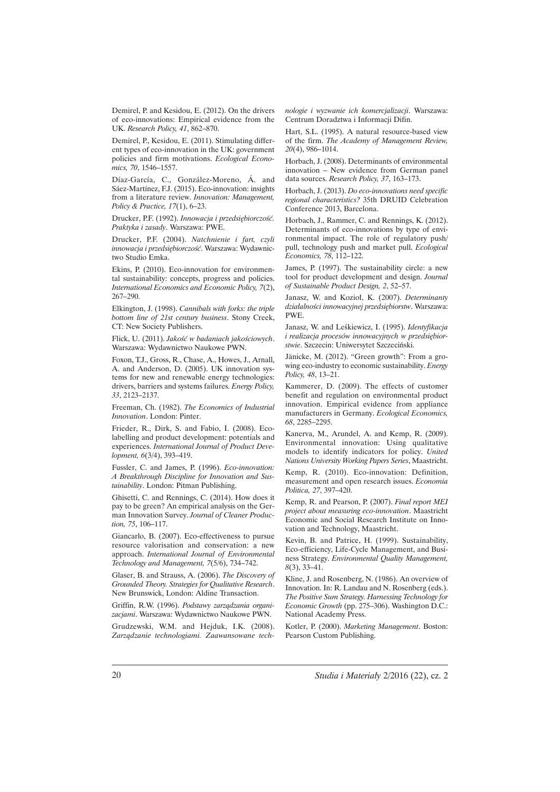Demirel, P. and Kesidou, E. (2012). On the drivers of eco-innovations: Empirical evidence from the UK. *Research Policy, 41*, 862–870.

Demirel, P., Kesidou, E. (2011). Stimulating different types of eco-innovation in the UK: government policies and firm motivations. *Ecological Economics, 70*, 1546–1557.

Díaz-García, C., González-Moreno, Á. and Sáez-Martínez, F.J. (2015). Eco-innovation: insights from a literature review. *Innovation: Management, Policy & Practice, 17*(1), 6–23.

Drucker, P.F. (1992). *Innowacja i przedsiębiorczość*. *Praktyka i zasady*. Warszawa: PWE.

Drucker, P.F. (2004). *Natchnienie i fart, czyli innowacja i przedsiębiorczość*. Warszawa: Wydawnictwo Studio Emka.

Ekins, P. (2010). Eco-innovation for environmental sustainability: concepts, progress and policies. *International Economics and Economic Policy, 7*(2), 267–290.

Elkington, J. (1998). *Cannibals with forks: the triple bottom line of 21st century business*. Stony Creek, CT: New Society Publishers.

Flick, U. (2011). *Jakość w badaniach jakościowych*. Warszawa: Wydawnictwo Naukowe PWN.

Foxon, T.J., Gross, R., Chase, A., Howes, J., Arnall, A. and Anderson, D. (2005). UK innovation systems for new and renewable energy technologies: drivers, barriers and systems failures. *Energy Policy, 33*, 2123–2137.

Freeman, Ch. (1982). *The Economics of Industrial Innovation*. London: Pinter.

Frieder, R., Dirk, S. and Fabio, I. (2008). Ecolabelling and product development: potentials and experiences. *International Journal of Product Development, 6*(3/4), 393–419.

Fussler, C. and James, P. (1996). *Eco-innovation: A Breakthrough Discipline for Innovation and Sustainability*. London: Pitman Publishing.

Ghisetti, C. and Rennings, C. (2014). How does it pay to be green? An empirical analysis on the German Innovation Survey. *Journal of Cleaner Production, 75*, 106–117.

Giancarlo, B. (2007). Eco-effectiveness to pursue resource valorisation and conservation: a new approach. *International Journal of Environmental Technology and Management, 7*(5/6), 734–742.

Glaser, B. and Strauss, A. (2006). *The Discovery of Grounded Theory. Strategies for Qualitative Research*. New Brunswick, London: Aldine Transaction.

Griffin, R.W. (1996). Podstawy zarządzania organi*zacjami*. Warszawa: Wydawnictwo Naukowe PWN.

Grudzewski, W.M. and Hejduk, I.K. (2008). Zarządzanie technologiami. Zaawansowane tech*nologie i wyzwanie ich komercjalizacji*. Warszawa: Centrum Doradztwa i Informacji Difin.

Hart, S.L. (1995). A natural resource-based view of the firm. *The Academy of Management Review, 20*(4), 986–1014.

Horbach, J. (2008). Determinants of environmental innovation – New evidence from German panel data sources. *Research Policy, 37*, 163–173.

Horbach, J. (2013). *Do eco-innovations need specific regional characteristics?* 35th DRUID Celebration Conference 2013, Barcelona.

Horbach, J., Rammer, C. and Rennings, K. (2012). Determinants of eco-innovations by type of environmental impact. The role of regulatory push/ pull, technology push and market pull. *Ecological Economics, 78*, 112–122.

James, P. (1997). The sustainability circle: a new tool for product development and design. *Journal of Sustainable Product Design, 2*, 52–57.

Janasz, W. and Kozioł, K. (2007). *Determinanty dziaïalnoĂci innowacyjnej przedsiÚbiorstw*. Warszawa: PWE.

Janasz, W. and Leśkiewicz, I. (1995). *Identyfikacja i realizacja procesów innowacyjnych w przedsiębior*stwie. Szczecin: Uniwersytet Szczeciński.

Jänicke, M. (2012). "Green growth": From a growing eco-industry to economic sustainability. *Energy Policy, 48*, 13–21.

Kammerer, D. (2009). The effects of customer benefit and regulation on environmental product innovation. Empirical evidence from appliance manufacturers in Germany. *Ecological Economics, 68*, 2285–2295.

Kanerva, M., Arundel, A. and Kemp, R. (2009). Environmental innovation: Using qualitative models to identify indicators for policy. *United Nations University Working Papers Series*, Maastricht.

Kemp, R. (2010). Eco-innovation: Definition, measurement and open research issues. *Economia Politica, 27*, 397–420.

Kemp, R. and Pearson, P. (2007). *Final report MEI project about measuring eco-innovation*. Maastricht Economic and Social Research Institute on Innovation and Technology, Maastricht.

Kevin, B. and Patrice, H. (1999). Sustainability, Eco-efficiency, Life-Cycle Management, and Business Strategy. *Environmental Quality Management, 8*(3), 33–41.

Kline, J. and Rosenberg, N. (1986). An overview of Innovation. In: R. Landau and N. Rosenberg (eds.). *The Positive Sum Strategy. Harnessing Technology for Economic Growth* (pp. 275–306). Washington D.C.: National Academy Press.

Kotler, P. (2000). *Marketing Management*. Boston: Pearson Custom Publishing.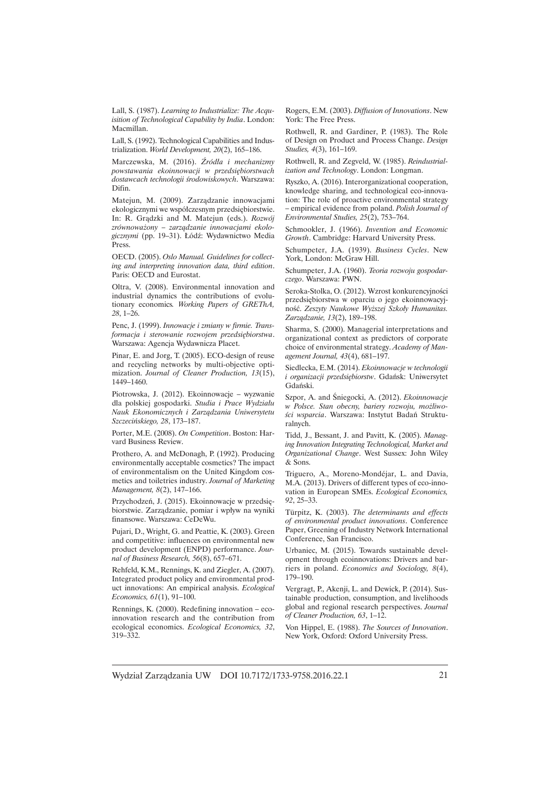Lall, S. (1987). *Learning to Industrialize: The Acquisition of Technological Capability by India*. London: Macmillan.

Lall, S. (1992). Technological Capabilities and Industrialization. *World Development, 20*(2), 165–186.

Marczewska, M. (2016). *½ródïa i mechanizmy powstawania ekoinnowacji w przedsiÚbiorstwach dostawcach technologii Ărodowiskowych*. Warszawa: Difin.

Matejun, M. (2009). Zarządzanie innowacjami ekologicznymi we współczesnym przedsiębiorstwie. In: R. Grądzki and M. Matejun (eds.). *Rozwój* zrównoważony – zarzadzanie innowacjami ekologicznymi (pp. 19–31). Łódź: Wydawnictwo Media Press.

OECD. (2005). *Oslo Manual. Guidelines for collecting and interpreting innovation data, third edition*. Paris: OECD and Eurostat.

Oltra, V. (2008). Environmental innovation and industrial dynamics the contributions of evolutionary economics*. Working Papers of GREThA, 28*, 1–26.

Penc, J. (1999). *Innowacje i zmiany w firmie. Transformacja i sterowanie rozwojem przedsiÚbiorstwa*. Warszawa: Agencja Wydawnicza Placet.

Pinar, E. and Jorg, T. (2005). ECO-design of reuse and recycling networks by multi-objective optimization. *Journal of Cleaner Production, 13*(15), 1449–1460.

Piotrowska, J. (2012). Ekoinnowacje – wyzwanie dla polskiej gospodarki. *Studia i Prace Wydziaïu Nauk Ekonomicznych i ZarzÈdzania Uniwersytetu Szczeciñskiego, 28*, 173–187.

Porter, M.E. (2008). *On Competition*. Boston: Harvard Business Review.

Prothero, A. and McDonagh, P. (1992). Producing environmentally acceptable cosmetics? The impact of environmentalism on the United Kingdom cosmetics and toiletries industry. *Journal of Marketing Management, 8*(2), 147–166.

Przychodzeń, J. (2015). Ekoinnowacje w przedsiebiorstwie. Zarządzanie, pomiar i wpływ na wyniki finansowe. Warszawa: CeDeWu.

Pujari, D., Wright, G. and Peattie, K. (2003). Green and competitive: influences on environmental new product development (ENPD) performance. *Journal of Business Research, 56*(8), 657–671.

Rehfeld, K.M., Rennings, K. and Ziegler, A. (2007). Integrated product policy and environmental product innovations: An empirical analysis. *Ecological Economics, 61*(1), 91–100.

Rennings, K. (2000). Redefining innovation – ecoinnovation research and the contribution from ecological economics. *Ecological Economics, 32*, 319–332.

Rogers, E.M. (2003). *Diffusion of Innovations*. New York: The Free Press.

Rothwell, R. and Gardiner, P. (1983). The Role of Design on Product and Process Change. *Design Studies, 4*(3), 161–169.

Rothwell, R. and Zegveld, W. (1985). *Reindustrialization and Technology*. London: Longman.

Ryszko, A. (2016). Interorganizational cooperation, knowledge sharing, and technological eco-innovation: The role of proactive environmental strategy – empirical evidence from poland. *Polish Journal of Environmental Studies, 25*(2), 753–764.

Schmookler, J. (1966). *Invention and Economic Growth*. Cambridge: Harvard University Press.

Schumpeter, J.A. (1939). *Business Cycles*. New York, London: McGraw Hill.

Schumpeter, J.A. (1960). *Teoria rozwoju gospodarczego*. Warszawa: PWN.

Seroka-Stolka, O. (2012). Wzrost konkurencyjności przedsiębiorstwa w oparciu o jego ekoinnowacyjność. Zeszyty Naukowe Wyższej Szkoły Humanitas. *ZarzÈdzanie, 13*(2), 189–198.

Sharma, S. (2000). Managerial interpretations and organizational context as predictors of corporate choice of environmental strategy. *Academy of Management Journal, 43*(4), 681–197.

Siedlecka, E.M. (2014). *Ekoinnowacje w technologii i organizacji przedsiębiorstw.* Gdańsk: Uniwersytet Gdañski.

Szpor, A. and Śniegocki, A. (2012). *Ekoinnowacje w Polsce. Stan obecny, bariery rozwoju, moĝliwo-Ăci wsparcia*. Warszawa: Instytut Badañ Strukturalnych.

Tidd, J., Bessant, J. and Pavitt, K. (2005). *Managing Innovation Integrating Technological, Market and Organizational Change*. West Sussex: John Wiley & Sons.

Triguero, A., Moreno-Mondéjar, L. and Davia, M.A. (2013). Drivers of different types of eco-innovation in European SMEs. *Ecological Economics, 92*, 25–33.

Türpitz, K. (2003). *The determinants and effects of environmental product innovations*. Conference Paper, Greening of Industry Network International Conference, San Francisco.

Urbaniec, M. (2015). Towards sustainable development through ecoinnovations: Drivers and barriers in poland. *Economics and Sociology, 8*(4), 179–190.

Vergragt, P., Akenji, L. and Dewick, P. (2014). Sustainable production, consumption, and livelihoods global and regional research perspectives. *Journal of Cleaner Production, 63*, 1–12.

Von Hippel, E. (1988). *The Sources of Innovation*. New York, Oxford: Oxford University Press.

Wydział Zarzadzania UW DOI 10.7172/1733-9758.2016.22.1 21